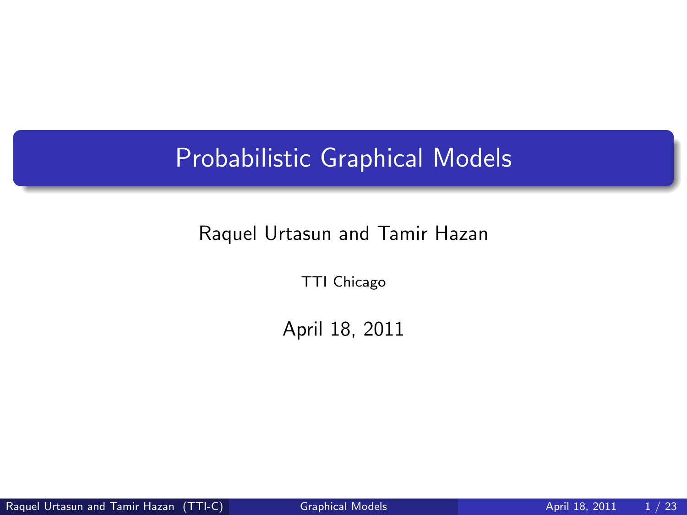# Probabilistic Graphical Models

#### Raquel Urtasun and Tamir Hazan

TTI Chicago

<span id="page-0-0"></span>April 18, 2011

Raquel Urtasun and Tamir Hazan (TTI-C) [Graphical Models](#page-22-0) **April 18, 2011** 1 / 23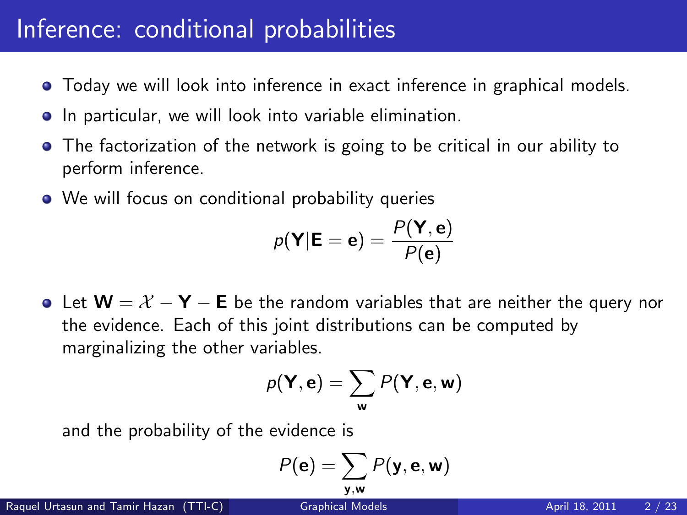#### Inference: conditional probabilities

- Today we will look into inference in exact inference in graphical models.
- **•** In particular, we will look into variable elimination.
- The factorization of the network is going to be critical in our ability to perform inference.
- We will focus on conditional probability queries

$$
p(\mathbf{Y}|\mathbf{E}=\mathbf{e})=\frac{P(\mathbf{Y},\mathbf{e})}{P(\mathbf{e})}
$$

• Let  $W = X - Y - E$  be the random variables that are neither the query nor the evidence. Each of this joint distributions can be computed by marginalizing the other variables.

$$
p(\mathbf{Y}, \mathbf{e}) = \sum_{\mathbf{w}} P(\mathbf{Y}, \mathbf{e}, \mathbf{w})
$$

and the probability of the evidence is

$$
P(\mathbf{e}) = \sum_{\mathbf{y}, \mathbf{w}} P(\mathbf{y}, \mathbf{e}, \mathbf{w})
$$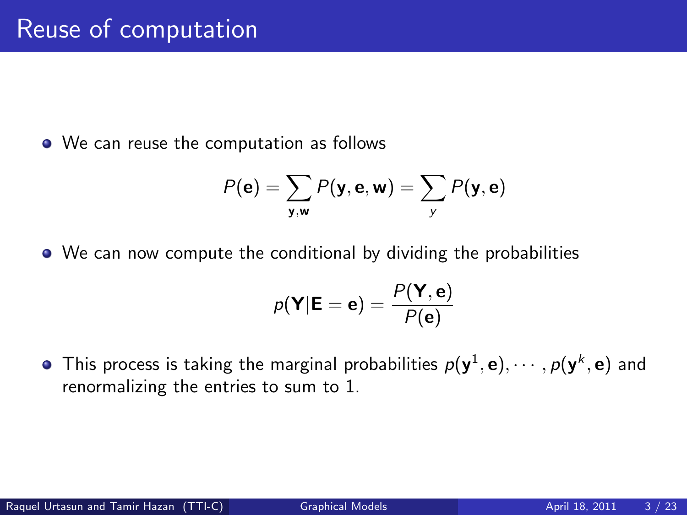• We can reuse the computation as follows

$$
P(\mathbf{e}) = \sum_{\mathbf{y}, \mathbf{w}} P(\mathbf{y}, \mathbf{e}, \mathbf{w}) = \sum_{\mathbf{y}} P(\mathbf{y}, \mathbf{e})
$$

We can now compute the conditional by dividing the probabilities

$$
p(\mathbf{Y}|\mathbf{E}=\mathbf{e})=\frac{P(\mathbf{Y},\mathbf{e})}{P(\mathbf{e})}
$$

This process is taking the marginal probabilities  $p(\textbf{y}^1,\textbf{e}),\cdots,p(\textbf{y}^k,\textbf{e})$  and renormalizing the entries to sum to 1.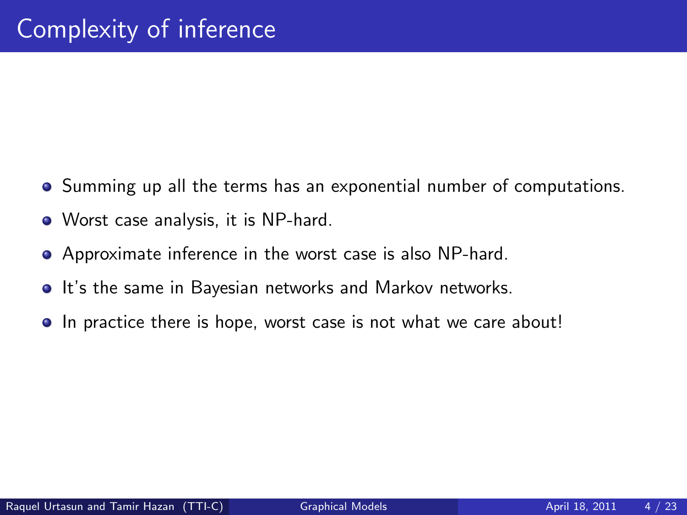- Summing up all the terms has an exponential number of computations.
- Worst case analysis, it is NP-hard.
- Approximate inference in the worst case is also NP-hard.
- **•** It's the same in Bayesian networks and Markov networks.
- In practice there is hope, worst case is not what we care about!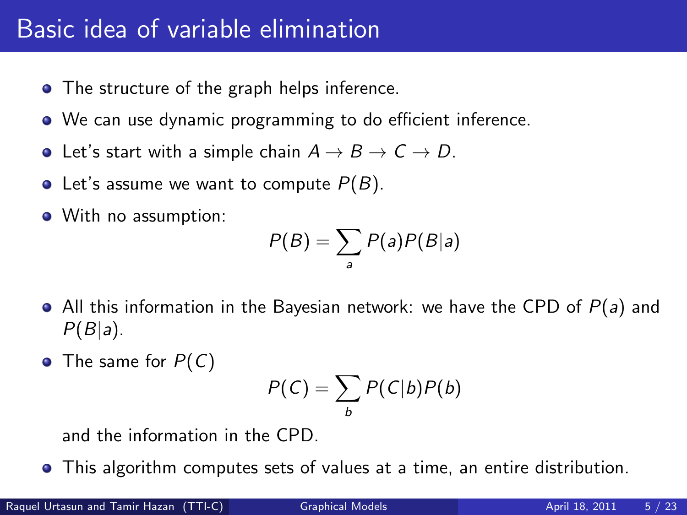#### Basic idea of variable elimination

- The structure of the graph helps inference.
- We can use dynamic programming to do efficient inference.
- Let's start with a simple chain  $A \rightarrow B \rightarrow C \rightarrow D$ .
- Let's assume we want to compute  $P(B)$ .
- With no assumption:

$$
P(B) = \sum_{a} P(a)P(B|a)
$$

- $\bullet$  All this information in the Bayesian network: we have the CPD of  $P(a)$  and  $P(B|a)$ .
- The same for  $P(C)$

$$
P(C) = \sum_{b} P(C|b)P(b)
$$

and the information in the CPD.

This algorithm computes sets of values at a time, an entire distribution.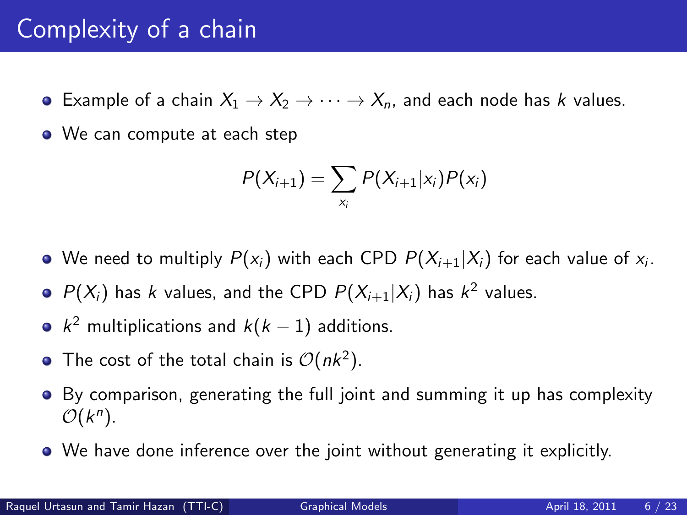#### Complexity of a chain

- **•** Example of a chain  $X_1 \rightarrow X_2 \rightarrow \cdots \rightarrow X_n$ , and each node has k values.
- We can compute at each step

$$
P(X_{i+1}) = \sum_{x_i} P(X_{i+1}|x_i)P(x_i)
$$

- We need to multiply  $P(\mathsf{x}_i)$  with each CPD  $P(\mathsf{X}_{i+1}|\mathsf{X}_i)$  for each value of  $\mathsf{x}_i.$
- $P(X_i)$  has k values, and the CPD  $P(X_{i+1}|X_i)$  has  $k^2$  values.
- $k^2$  multiplications and  $k(k-1)$  additions.
- The cost of the total chain is  $\mathcal{O}(nk^2)$ .
- **•** By comparison, generating the full joint and summing it up has complexity  $\mathcal{O}(k^n)$ .
- We have done inference over the joint without generating it explicitly.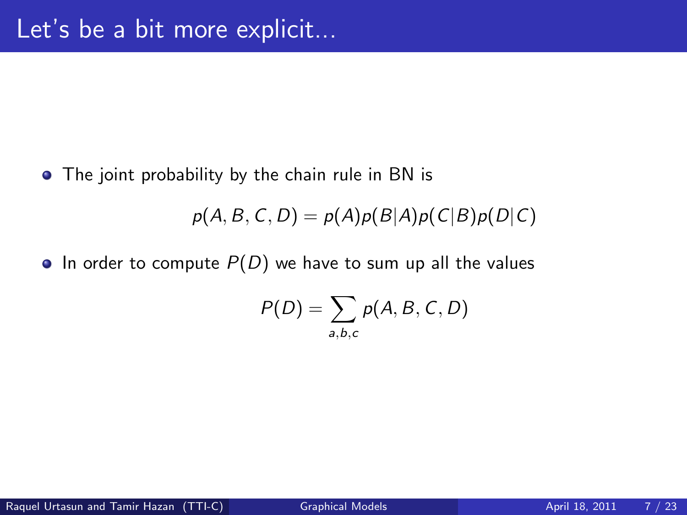• The joint probability by the chain rule in BN is

 $p(A, B, C, D) = p(A)p(B|A)p(C|B)p(D|C)$ 

• In order to compute  $P(D)$  we have to sum up all the values

$$
P(D) = \sum_{a,b,c} p(A, B, C, D)
$$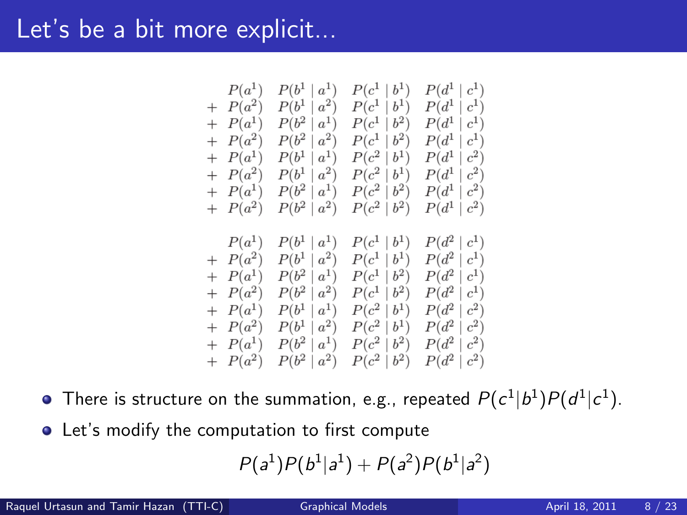#### Let's be a bit more explicit...

$$
\begin{array}{c|c|c|c|c} P(a^1) & P(b^1 \mid a^1) & P(c^1 \mid b^1) & P(d^1 \mid c^1) \\ + & P(a^2) & P(b^1 \mid a^2) & P(c^1 \mid b^1) & P(d^1 \mid c^1) \\ + & P(a^1) & P(b^2 \mid a^1) & P(c^1 \mid b^2) & P(d^1 \mid c^1) \\ + & P(a^2) & P(b^1 \mid a^1) & P(c^2 \mid b^1) & P(d^1 \mid c^2) \\ + & P(a^2) & P(b^1 \mid a^2) & P(c^2 \mid b^1) & P(d^1 \mid c^2) \\ + & P(a^2) & P(b^2 \mid a^1) & P(c^2 \mid b^2) & P(d^1 \mid c^2) \\ + & P(a^2) & P(b^2 \mid a^2) & P(c^2 \mid b^2) & P(d^1 \mid c^2) \\ + & P(a^2) & P(b^2 \mid a^2) & P(c^2 \mid b^2) & P(d^1 \mid c^2) \\ + & P(a^2) & P(b^1 \mid a^2) & P(c^1 \mid b^1) & P(d^2 \mid c^1) \\ + & P(a^2) & P(b^1 \mid a^2) & P(c^1 \mid b^2) & P(d^2 \mid c^1) \\ + & P(a^2) & P(b^1 \mid a^2) & P(c^1 \mid b^2) & P(d^2 \mid c^1) \\ + & P(a^2) & P(b^1 \mid a^1) & P(c^2 \mid b^1) & P(d^2 \mid c^2) \\ + & P(a^2) & P(b^1 \mid a^2) & P(c^2 \mid b^1) & P(d^2 \mid c^2) \\ + & P(a^2) & P(b^2 \mid a^1) & P(c^2 \mid b^2) & P(d^2 \mid c^2) \\ + & P(a^2) & P(b^2 \mid a^2) & P(c^2 \mid b^2) & P(d^2 \mid c^2) \\ + & P(a^2) & P(b^2 \mid a^2) & P(c^2 \mid b^2) & P(d^2 \mid c^2) \\ \end{array}
$$

There is structure on the summation, e.g., repeated  $P(c^1|b^1)P(d^1|c^1).$ 

Let's modify the computation to first compute

$$
P(a^1)P(b^1|a^1)+P(a^2)P(b^1|a^2)
$$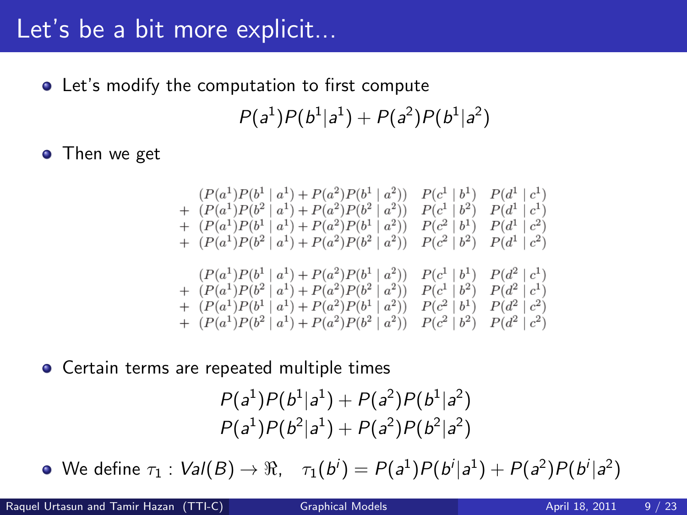## Let's be a bit more explicit...

● Let's modify the computation to first compute

 $P(a^1)P(b^1|a^1) + P(a^2)P(b^1|a^2)$ 

• Then we get

$$
\begin{array}{c} (P(a^1)P(b^1\mid a^1)+P(a^2)P(b^1\mid a^2))\quad P(c^1\mid b^1)\quad P(d^1\mid c^1)\\ +\quad (P(a^1)P(b^2\mid a^1)+P(a^2)P(b^2\mid a^2))\quad P(c^1\mid b^2)\quad P(d^1\mid c^1)\\ +\quad (P(a^1)P(b^1\mid a^1)+P(a^2)P(b^1\mid a^2))\quad P(c^2\mid b^1)\quad P(d^1\mid c^2)\\ +\quad (P(a^1)P(b^2\mid a^1)+P(a^2)P(b^2\mid a^2))\quad P(c^2\mid b^2)\quad P(d^1\mid c^2)\\ (P(a^1)P(b^1\mid a^1)+P(a^2)P(b^1\mid a^2))\quad P(c^1\mid b^1)\quad P(d^2\mid c^1)\\ +\quad (P(a^1)P(b^2\mid a^1)+P(a^2)P(b^2\mid a^2))\quad P(c^1\mid b^2)\quad P(d^2\mid c^1)\\ +\quad (P(a^1)P(b^1\mid a^1)+P(a^2)P(b^1\mid a^2))\quad P(c^2\mid b^1)\quad P(d^2\mid c^2)\\ +\quad (P(a^1)P(b^2\mid a^1)+P(a^2)P(b^2\mid a^2))\quad P(c^2\mid b^2)\quad P(d^2\mid c^2)\\ \end{array}
$$

**•** Certain terms are repeated multiple times

$$
P(a^1)P(b^1|a^1) + P(a^2)P(b^1|a^2)
$$
  

$$
P(a^1)P(b^2|a^1) + P(a^2)P(b^2|a^2)
$$

We define  $\tau_1: \mathit{Val}(B) \to \Re, \quad \tau_1(b^i) = P(a^1)P(b^i|a^1) + P(a^2)P(b^i|a^2)$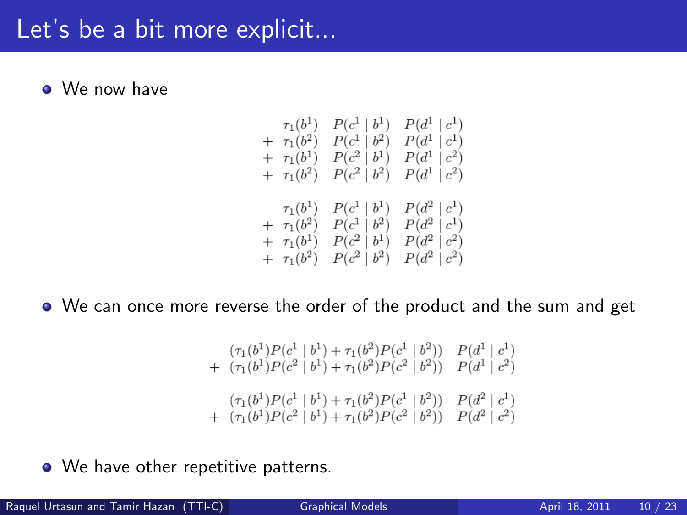#### Let's be a bit more explicit...

• We now have

$$
\begin{array}{cccc} \tau_1(b^1) & P(c^1 \mid b^1) & P(d^1 \mid c^1) \\ + & \tau_1(b^2) & P(c^1 \mid b^2) & P(d^1 \mid c^1) \\ + & \tau_1(b^1) & P(c^2 \mid b^1) & P(d^1 \mid c^2) \\ + & \tau_1(b^2) & P(c^2 \mid b^2) & P(d^1 \mid c^2) \\ \tau_1(b^1) & P(c^1 \mid b^1) & P(d^2 \mid c^1) \\ + & \tau_1(b^2) & P(c^1 \mid b^2) & P(d^2 \mid c^1) \\ + & \tau_1(b^1) & P(c^2 \mid b^1) & P(d^2 \mid c^2) \\ + & \tau_1(b^2) & P(c^2 \mid b^2) & P(d^2 \mid c^2) \end{array}
$$

We can once more reverse the order of the product and the sum and get

$$
(\tau_1(b^1)P(c^1 | b^1) + \tau_1(b^2)P(c^1 | b^2)) P(d^1 | c^1)
$$
  
+ 
$$
(\tau_1(b^1)P(c^2 | b^1) + \tau_1(b^2)P(c^2 | b^2)) P(d^1 | c^2)
$$
  

$$
(\tau_1(b^1)P(c^1 | b^1) + \tau_1(b^2)P(c^1 | b^2)) P(d^2 | c^1)
$$
  
+ 
$$
(\tau_1(b^1)P(c^2 | b^1) + \tau_1(b^2)P(c^2 | b^2)) P(d^2 | c^2)
$$

• We have other repetitive patterns.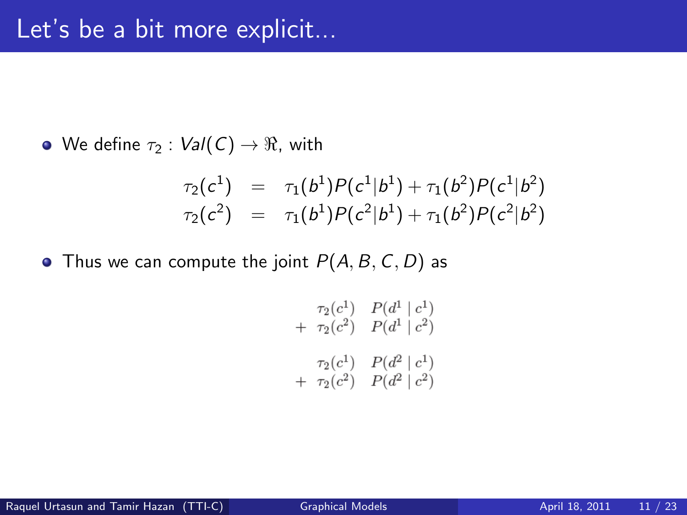• We define  $\tau_2$  :  $Val(C) \rightarrow \Re$ , with

$$
\tau_2(c^1) = \tau_1(b^1)P(c^1|b^1) + \tau_1(b^2)P(c^1|b^2)
$$
  
\n
$$
\tau_2(c^2) = \tau_1(b^1)P(c^2|b^1) + \tau_1(b^2)P(c^2|b^2)
$$

• Thus we can compute the joint  $P(A, B, C, D)$  as

$$
\tau_2(c^1) \quad P(d^1 | c^1) \n+ \tau_2(c^2) \quad P(d^1 | c^2) \n\tau_2(c^1) \quad P(d^2 | c^1) \n+ \tau_2(c^2) \quad P(d^2 | c^2)
$$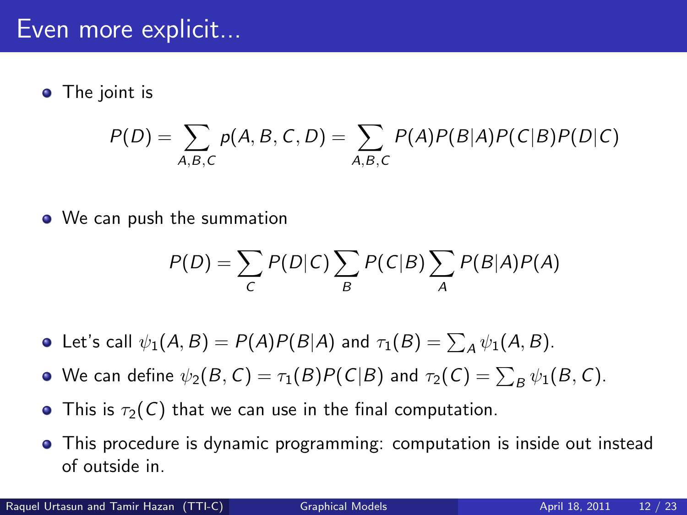• The joint is

$$
P(D) = \sum_{A,B,C} p(A,B,C,D) = \sum_{A,B,C} P(A)P(B|A)P(C|B)P(D|C)
$$

• We can push the summation

$$
P(D) = \sum_{C} P(D|C) \sum_{B} P(C|B) \sum_{A} P(B|A)P(A)
$$

- Let's call  $\psi_1(A, B) = P(A)P(B|A)$  and  $\tau_1(B) = \sum_A \psi_1(A, B)$ .
- We can define  $\psi_2(B,\mathcal C)=\tau_1(B)P(\mathcal C|B)$  and  $\tau_2(\mathcal C)=\sum_B\psi_1(B,\mathcal C).$
- This is  $\tau_2(C)$  that we can use in the final computation.
- This procedure is dynamic programming: computation is inside out instead of outside in.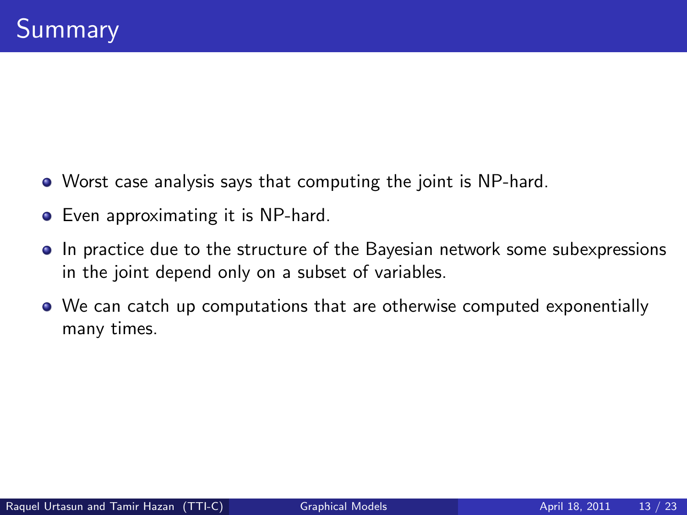- Worst case analysis says that computing the joint is NP-hard.
- **•** Even approximating it is NP-hard.
- In practice due to the structure of the Bayesian network some subexpressions in the joint depend only on a subset of variables.
- We can catch up computations that are otherwise computed exponentially many times.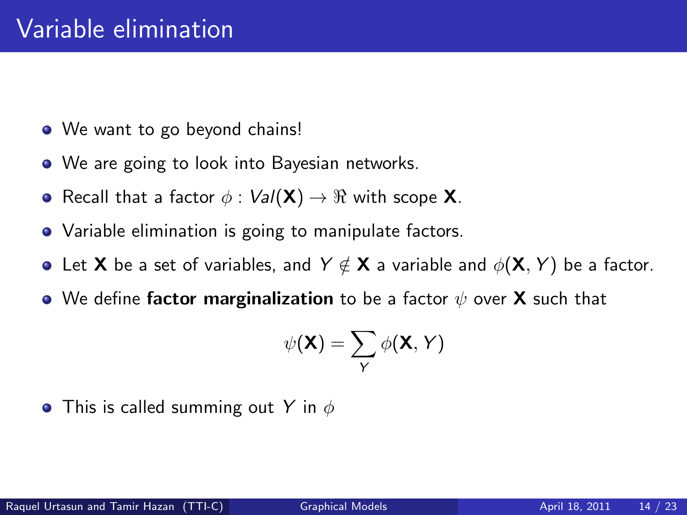- We want to go beyond chains!
- We are going to look into Bayesian networks.
- Recall that a factor  $\phi : \text{Val}(\mathsf{X}) \to \Re$  with scope **X**.
- Variable elimination is going to manipulate factors.
- Let **X** be a set of variables, and  $Y \notin \mathbf{X}$  a variable and  $\phi(\mathbf{X}, Y)$  be a factor.
- We define factor marginalization to be a factor  $\psi$  over **X** such that

$$
\psi(\mathbf{X}) = \sum_{Y} \phi(\mathbf{X}, Y)
$$

• This is called summing out Y in  $\phi$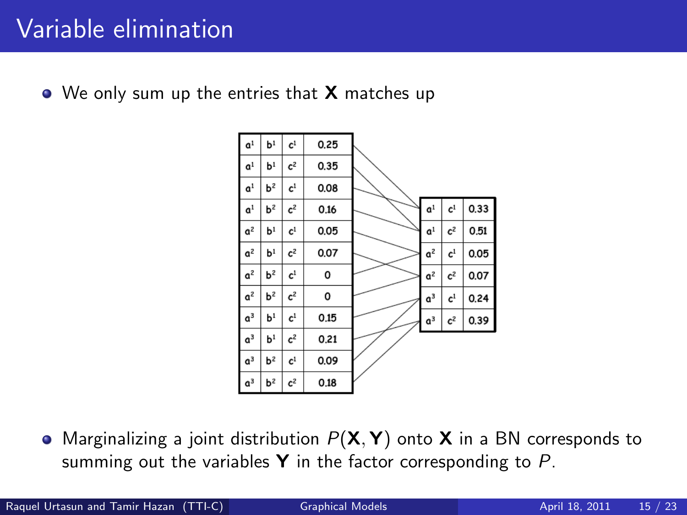### Variable elimination

 $\bullet$  We only sum up the entries that **X** matches up



• Marginalizing a joint distribution  $P(X, Y)$  onto X in a BN corresponds to summing out the variables  $Y$  in the factor corresponding to  $P$ .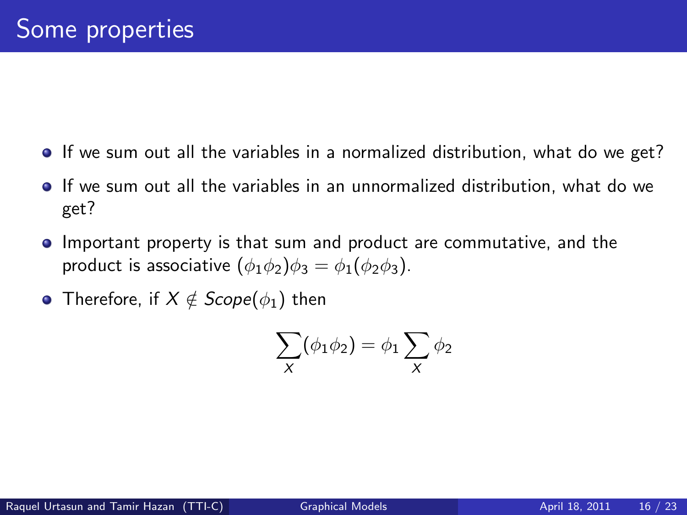- If we sum out all the variables in a normalized distribution, what do we get?
- If we sum out all the variables in an unnormalized distribution, what do we get?
- Important property is that sum and product are commutative, and the product is associative  $(\phi_1 \phi_2)\phi_3 = \phi_1(\phi_2 \phi_3)$ .
- Therefore, if  $X \notin \text{Scope}(\phi_1)$  then

$$
\sum_{X} (\phi_1 \phi_2) = \phi_1 \sum_{X} \phi_2
$$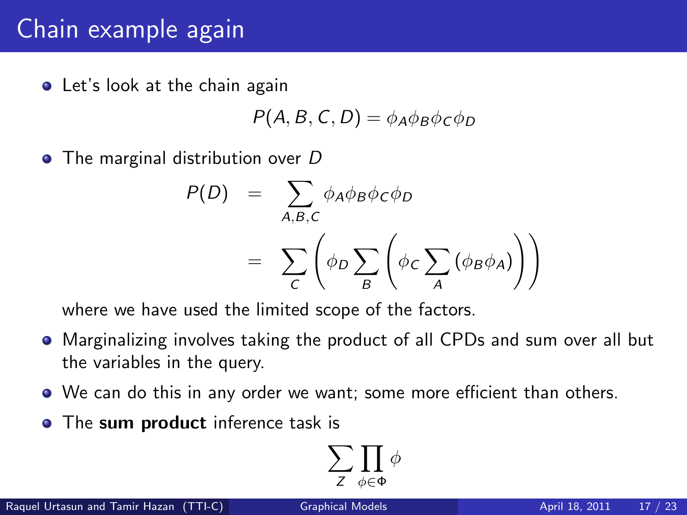# Chain example again

**•** Let's look at the chain again

$$
P(A, B, C, D) = \phi_A \phi_B \phi_C \phi_D
$$

• The marginal distribution over D

$$
P(D) = \sum_{A,B,C} \phi_A \phi_B \phi_C \phi_D
$$
  
= 
$$
\sum_C \left( \phi_D \sum_B \left( \phi_C \sum_A (\phi_B \phi_A) \right) \right)
$$

where we have used the limited scope of the factors.

- Marginalizing involves taking the product of all CPDs and sum over all but the variables in the query.
- We can do this in any order we want; some more efficient than others.
- The sum product inference task is

$$
\sum_{Z} \prod_{\phi \in \Phi} \phi
$$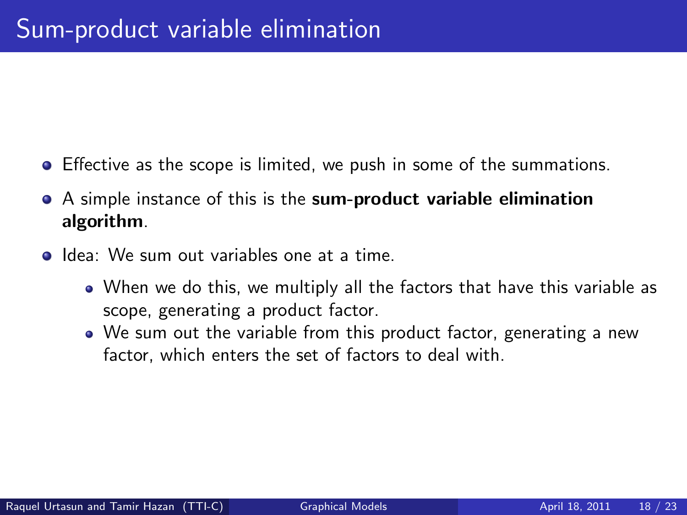- Effective as the scope is limited, we push in some of the summations.
- A simple instance of this is the sum-product variable elimination algorithm.
- **Idea:** We sum out variables one at a time.
	- When we do this, we multiply all the factors that have this variable as scope, generating a product factor.
	- We sum out the variable from this product factor, generating a new factor, which enters the set of factors to deal with.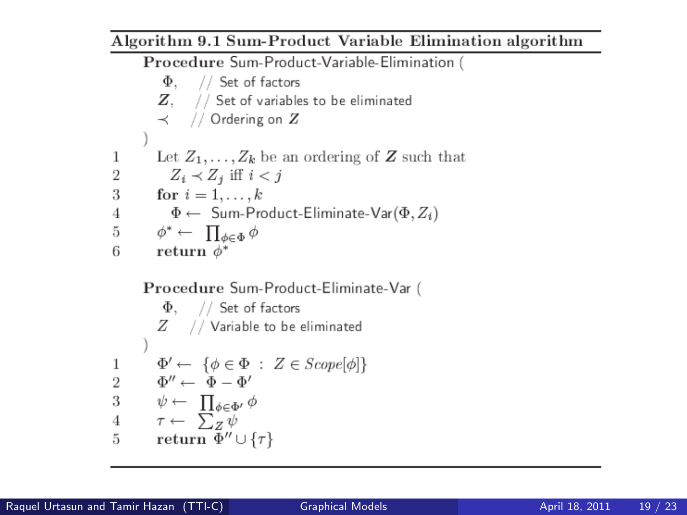Algorithm 9.1 Sum-Product Variable Elimination algorithm Procedure Sum-Product-Variable-Elimination (  $\Phi$ , // Set of factors  $Z$ ,  $//$  Set of variables to be eliminated  $\prec$  // Ordering on  $Z$ Let  $Z_1, \ldots, Z_k$  be an ordering of **Z** such that  $\mathbf{1}$  $\overline{2}$  $Z_i \prec Z_i$  iff  $i < j$ for  $i=1,\ldots,k$ 3  $\Phi \leftarrow$  Sum-Product-Eliminate-Var $(\Phi, Z_i)$  $\overline{4}$  $\overline{5}$  $\phi^* \leftarrow \prod_{\phi \in \Phi} \phi$ 6 return  $\phi^*$ 

**Proceedure Sum-Product-Eliminate-Var** (  
\n
$$
\Phi
$$
, // Set of factors  
\n $Z$  // Variable to be eliminated  
\n)  
\n $\Phi' \leftarrow {\phi \in \Phi : Z \in Scope[\phi]}$   
\n $Q' \leftarrow \Phi - \Phi'$   
\n $\Phi' \leftarrow \prod_{\phi \in \Phi'} \phi$   
\n $\tau \leftarrow \sum_{Z} \psi$   
\n $\tau \leftarrow \sum_{Z} \psi$   
\n $\tau \leftarrow \psi \leftarrow \tau$ 

**The Co**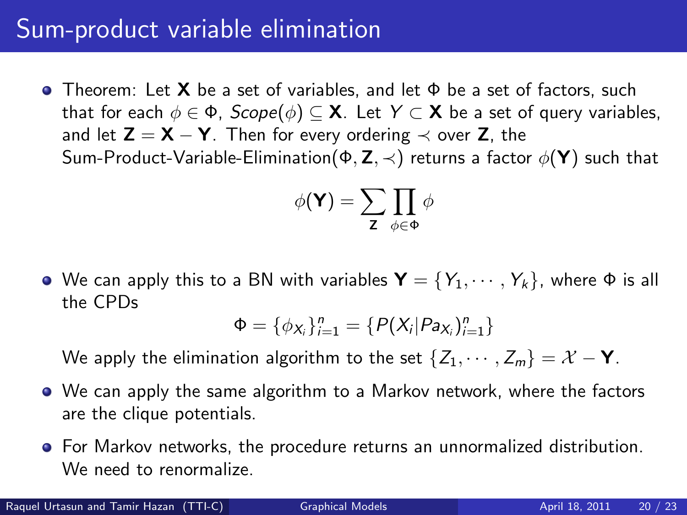#### Sum-product variable elimination

**•** Theorem: Let **X** be a set of variables, and let  $\Phi$  be a set of factors, such that for each  $\phi \in \Phi$ ,  $Scope(\phi) \subseteq X$ . Let  $Y \subset X$  be a set of query variables, and let  $Z = X - Y$ . Then for every ordering  $\prec$  over Z, the Sum-Product-Variable-Elimination( $\Phi$ , Z,  $\prec$ ) returns a factor  $\phi$ (Y) such that

$$
\phi(\mathbf{Y}) = \sum_{\mathbf{Z}} \prod_{\phi \in \Phi} \phi
$$

• We can apply this to a BN with variables  $\mathbf{Y} = \{Y_1, \dots, Y_k\}$ , where  $\Phi$  is all the CPDs

$$
\Phi = \{\phi_{X_i}\}_{i=1}^n = \{P(X_i|Pa_{X_i})_{i=1}^n\}
$$

We apply the elimination algorithm to the set  $\{Z_1, \dots, Z_m\} = \mathcal{X} - Y$ .

- We can apply the same algorithm to a Markov network, where the factors are the clique potentials.
- For Markov networks, the procedure returns an unnormalized distribution. We need to renormalize.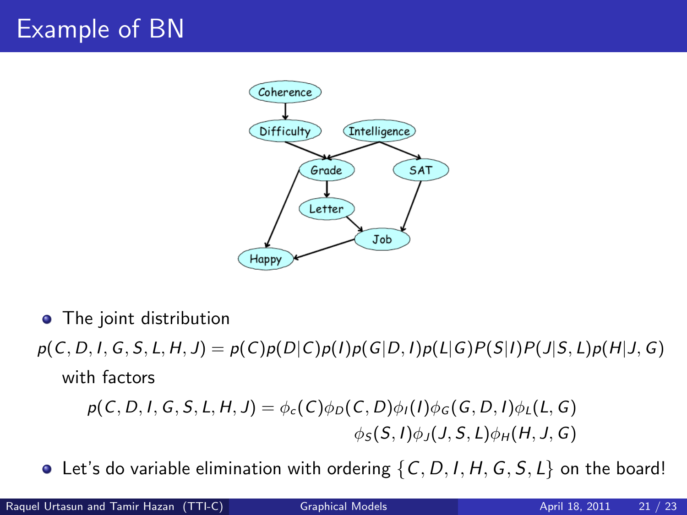# Example of BN



- The joint distribution
- $p(C, D, I, G, S, L, H, J) = p(C)p(D|C)p(I)p(G|D, I)p(L|G)P(S|I)P(J|S, L)p(H|J, G)$ with factors

$$
p(C, D, I, G, S, L, H, J) = \phi_c(C)\phi_D(C, D)\phi_I(I)\phi_G(G, D, I)\phi_L(L, G)
$$
  

$$
\phi_S(S, I)\phi_J(J, S, L)\phi_H(H, J, G)
$$

 $\bullet$  Let's do variable elimination with ordering  $\{C, D, I, H, G, S, L\}$  on the board!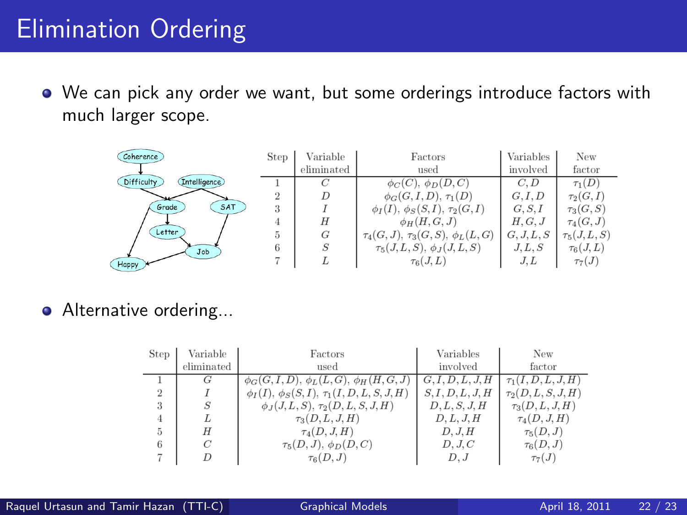# Elimination Ordering

We can pick any order we want, but some orderings introduce factors with much larger scope.

| Coherence                  | <b>Step</b> | Variable   | Factors                                    | Variables  | New             |
|----------------------------|-------------|------------|--------------------------------------------|------------|-----------------|
|                            |             | eliminated | used                                       | involved   | factor          |
| Difficulty<br>Intelligence |             |            | $\phi_C(C)$ , $\phi_D(D, C)$               | C, D       | $\tau_1(D)$     |
|                            |             |            | $\phi_G(G, I, D), \tau_1(D)$               | G, I, D    | $\tau_2(G,I)$   |
| SAT<br>Grade               | 3           |            | $\phi_I(I), \phi_S(S, I), \tau_2(G, I)$    | G, S, I    | $\tau_3(G, S)$  |
|                            |             | Н          | $\phi_H(H, G, J)$                          | H, G, J    | $\tau_4(G,J)$   |
| Letter                     | 5.          | G          | $\tau_4(G, J), \tau_3(G, S), \phi_L(L, G)$ | G, J, L, S | $\tau_5(J,L,S)$ |
| Job                        |             | S          | $\tau_5(J,L,S), \phi_J(J,L,S)$             | J, L, S    | $\tau_6(J,L)$   |
| Happy                      |             |            | $\tau_6(J,L)$                              | J.L        | $\tau_7(J)$     |

#### **•** Alternative ordering...

| <b>Step</b>    | Variable   | Factors                                             | Variables        | New                     |
|----------------|------------|-----------------------------------------------------|------------------|-------------------------|
|                | eliminated | used                                                | involved         | factor                  |
|                |            | $\phi_G(G, I, D), \phi_L(L, G), \phi_H(H, G, J)$    | G, I, D, L, J, H | $\tau_1(I, D, L, J, H)$ |
| $\overline{2}$ |            | $\phi_I(I), \phi_S(S, I), \tau_1(I, D, L, S, J, H)$ | S, I, D, L, J, H | $\tau_2(D, L, S, J, H)$ |
| 3              |            | $\phi_J(J, L, S), \tau_2(D, L, S, J, H)$            | D, L, S, J, H    | $\tau_3(D,L,J,H)$       |
|                |            | $\tau_3(D,L,J,H)$                                   | D, L, J, H       | $\tau_4(D, J, H)$       |
| 5              | H          | $\tau_4(D, J, H)$                                   | D, J, H          | $\tau_5(D,J)$           |
| 6              | C          | $\tau_5(D,J), \phi_D(D,C)$                          | D, J, C          | $\tau_6(D,J)$           |
|                |            | $\tau_6(D,J)$                                       | $D$ . J          | $\tau_7(J)$             |